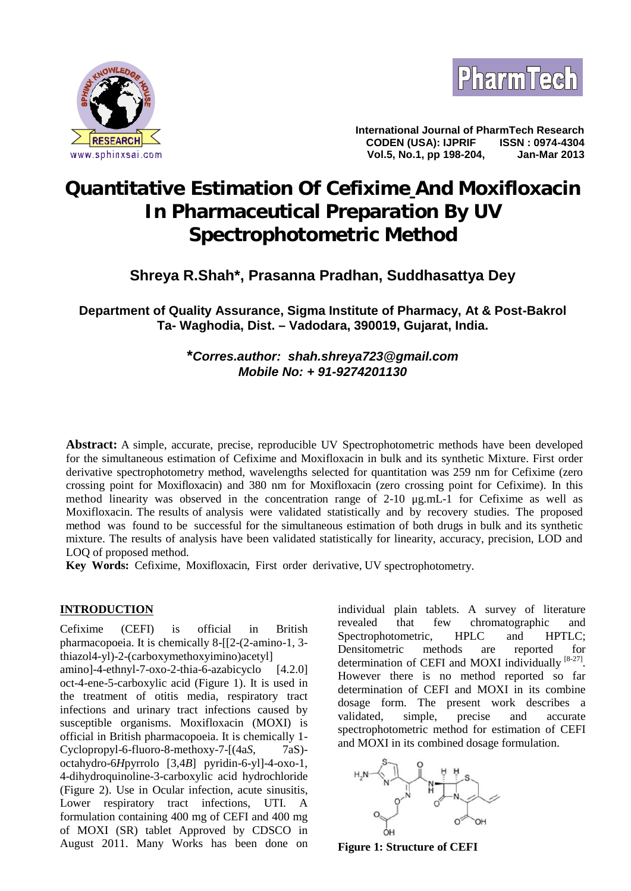



**International Journal of PharmTech Research CODEN (USA): IJPRIF ISSN : 0974-4304 Vol.5, No.1, pp 198-204, Jan-Mar 2013**

# **Quantitative Estimation Of Cefixime And Moxifloxacin In Pharmaceutical Preparation By UV Spectrophotometric Method**

## **Shreya R.Shah\*, Prasanna Pradhan, Suddhasattya Dey**

**Department of Quality Assurance, Sigma Institute of Pharmacy, At & Post-Bakrol Ta- Waghodia, Dist. – Vadodara, 390019, Gujarat, India.**

## **\****Corres.author: shah.shreya723@gmail.com Mobile No: + 91-9274201130*

**Abstract:** A simple, accurate, precise, reproducible UV Spectrophotometric methods have been developed for the simultaneous estimation of Cefixime and Moxifloxacin in bulk and its synthetic Mixture. First order derivative spectrophotometry method, wavelengths selected for quantitation was 259 nm for Cefixime (zero crossing point for Moxifloxacin) and 380 nm for Moxifloxacin (zero crossing point for Cefixime). In this method linearity was observed in the concentration range of 2-10 μg.mL-1 for Cefixime as well as Moxifloxacin. The results of analysis were validated statistically and by recovery studies. The proposed method was found to be successful for the simultaneous estimation of both drugs in bulk and its synthetic mixture. The results of analysis have been validated statistically for linearity, accuracy, precision, LOD and LOQ of proposed method.

**Key Words:** Cefixime, Moxifloxacin, First order derivative, UV spectrophotometry.

## **INTRODUCTION**

Cefixime (CEFI) is official in British pharmacopoeia. It is chemically 8-[[2-(2-amino-1, 3 thiazol4-yl)-2-(carboxymethoxyimino)acetyl] amino]-4-ethnyl-7-oxo-2-thia-6-azabicyclo [4.2.0]

oct-4-ene-5-carboxylic acid (Figure 1). It is used in the treatment of otitis media, respiratory tract infections and urinary tract infections caused by susceptible organisms. Moxifloxacin (MOXI) is official in British pharmacopoeia. It is chemically 1- Cyclopropyl-6-fluoro-8-methoxy-7- $[(4aS, 7aS)$ octahydro-6*H*pyrrolo [3,4*B*] pyridin-6-yl]-4-oxo-1, 4-dihydroquinoline-3-carboxylic acid hydrochloride (Figure 2). Use in Ocular infection, acute sinusitis, Lower respiratory tract infections, UTI. A formulation containing 400 mg of CEFI and 400 mg of MOXI (SR) tablet Approved by CDSCO in August 2011. Many Works has been done on

individual plain tablets. A survey of literature that few chromatographic and Spectrophotometric, HPLC and HPTLC: Densitometric methods are reported for determination of CEFI and MOXI individually [8-27]. However there is no method reported so far determination of CEFI and MOXI in its combine dosage form. The present work describes a validated, simple, precise and accurate spectrophotometric method for estimation of CEFI and MOXI in its combined dosage formulation.



**Figure 1: Structure of CEFI**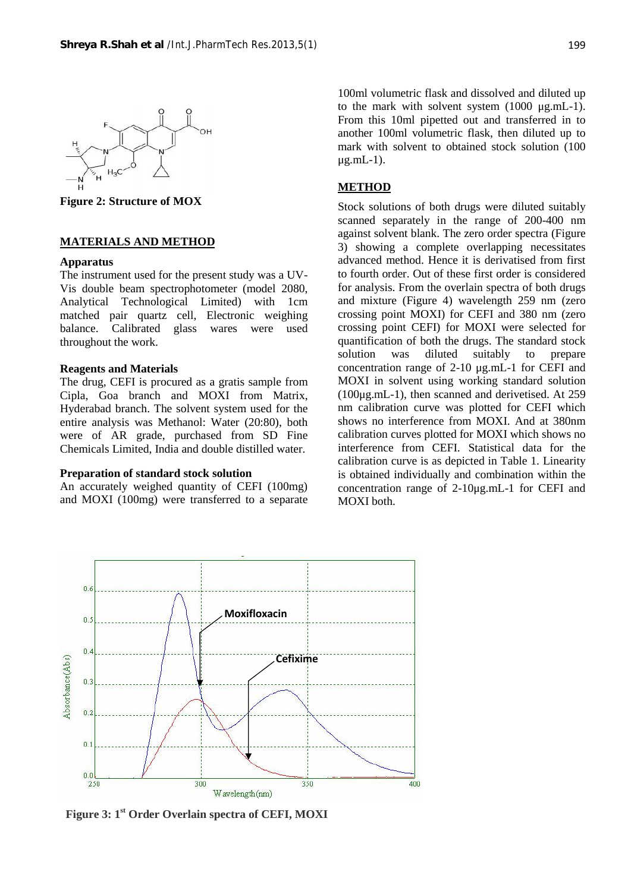

**Figure 2: Structure of MOX**

#### **MATERIALS AND METHOD**

#### **Apparatus**

The instrument used for the present study was a UV- Vis double beam spectrophotometer (model 2080, Analytical Technological Limited) with 1cm matched pair quartz cell, Electronic weighing balance. Calibrated glass wares were used throughout the work.

#### **Reagents and Materials**

The drug, CEFI is procured as a gratis sample from Cipla, Goa branch and MOXI from Matrix, Hyderabad branch. The solvent system used for the entire analysis was Methanol: Water (20:80), both were of AR grade, purchased from SD Fine Chemicals Limited, India and double distilled water.

#### **Preparation of standard stock solution**

An accurately weighed quantity of CEFI (100mg) and MOXI (100mg) were transferred to a separate

100ml volumetric flask and dissolved and diluted up to the mark with solvent system (1000 μg.mL-1). From this 10ml pipetted out and transferred in to another 100ml volumetric flask, then diluted up to mark with solvent to obtained stock solution (100 μg.mL-1).

#### **METHOD**

Stock solutions of both drugs were diluted suitably scanned separately in the range of 200-400 nm against solvent blank. The zero order spectra (Figure 3) showing a complete overlapping necessitates advanced method. Hence it is derivatised from first to fourth order. Out of these first order is considered for analysis. From the overlain spectra of both drugs and mixture (Figure 4) wavelength 259 nm (zero crossing point MOXI) for CEFI and 380 nm (zero crossing point CEFI) for MOXI were selected for quantification of both the drugs. The standard stock solution was diluted suitably to prepare concentration range of 2-10 μg.mL-1 for CEFI and MOXI in solvent using working standard solution (100μg.mL-1), then scanned and derivetised. At 259 nm calibration curve was plotted for CEFI which shows no interference from MOXI. And at 380nm calibration curves plotted for MOXI which shows no interference from CEFI. Statistical data for the calibration curve is as depicted in Table 1. Linearity is obtained individually and combination within the concentration range of 2-10μg.mL-1 for CEFI and MOXI both.



**Figure 3: 1st Order Overlain spectra of CEFI, MOXI**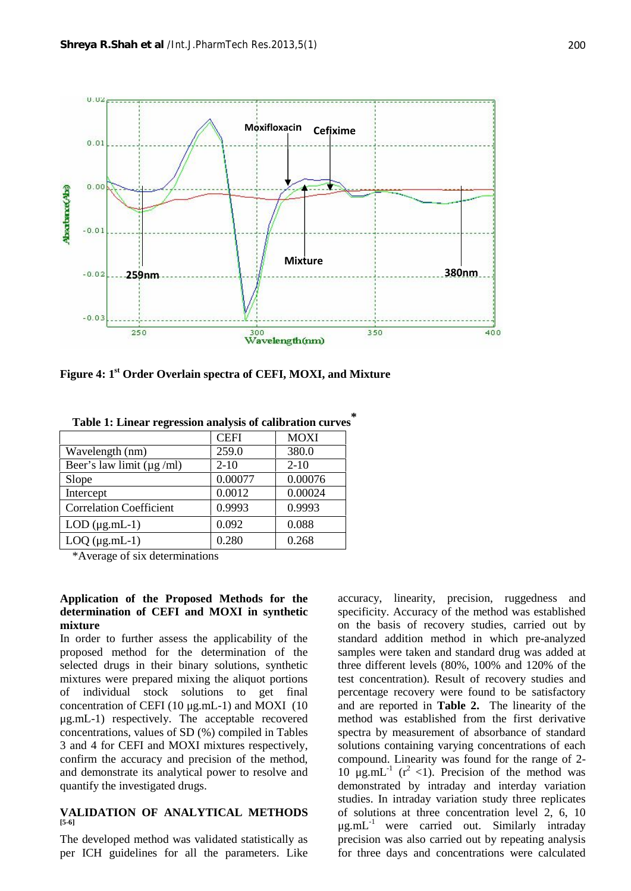

**Figure 4: 1st Order Overlain spectra of CEFI, MOXI, and Mixture**

|                                | <b>CEFI</b> | <b>MOXI</b> |
|--------------------------------|-------------|-------------|
| Wavelength (nm)                | 259.0       | 380.0       |
| Beer's law limit $(\mu g/ml)$  | $2 - 10$    | $2 - 10$    |
| Slope                          | 0.00077     | 0.00076     |
| Intercept                      | 0.0012      | 0.00024     |
| <b>Correlation Coefficient</b> | 0.9993      | 0.9993      |
| $LOD$ ( $\mu$ g.mL-1)          | 0.092       | 0.088       |
| $LOQ$ ( $\mu$ g.mL-1)          | 0.280       | 0.268       |

**Table 1: Linear regression analysis of calibration curves \***

\*Average of six determinations

## **Application of the Proposed Methods for the determination of CEFI and MOXI in synthetic mixture**

In order to further assess the applicability of the proposed method for the determination of the selected drugs in their binary solutions, synthetic mixtures were prepared mixing the aliquot portions of individual stock solutions to get final concentration of CEFI (10 μg.mL-1) and MOXI (10 μg.mL-1) respectively. The acceptable recovered concentrations, values of SD (%) compiled in Tables 3 and 4 for CEFI and MOXI mixtures respectively, confirm the accuracy and precision of the method, and demonstrate its analytical power to resolve and quantify the investigated drugs.

## **VALIDATION OF ANALYTICAL METHODS [5-6]**

The developed method was validated statistically as per ICH guidelines for all the parameters. Like

accuracy, linearity, precision, ruggedness and specificity. Accuracy of the method was established on the basis of recovery studies, carried out by standard addition method in which pre-analyzed samples were taken and standard drug was added at three different levels (80%, 100% and 120% of the test concentration). Result of recovery studies and percentage recovery were found to be satisfactory and are reported in **Table 2.** The linearity of the method was established from the first derivative spectra by measurement of absorbance of standard solutions containing varying concentrations of each compound. Linearity was found for the range of 2- 10  $\mu$ g.mL<sup>-1</sup> (r<sup>2</sup> <1). Precision of the method was demonstrated by intraday and interday variation studies. In intraday variation study three replicates of solutions at three concentration level 2, 6, 10  $\mu$ g.mL<sup>-1</sup> were carried out. Similarly intraday precision was also carried out by repeating analysis for three days and concentrations were calculated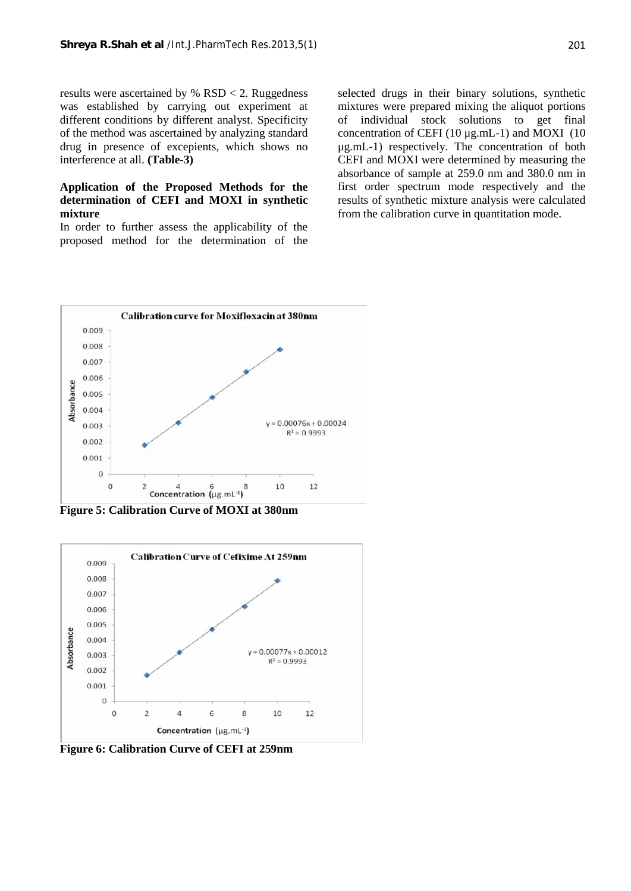results were ascertained by % RSD < 2. Ruggedness was established by carrying out experiment at different conditions by different analyst. Specificity of of the method was ascertained by analyzing standard drug in presence of excepients, which shows no interference at all. **(Table-3)**

## **Application of the Proposed Methods for the determination of CEFI and MOXI in synthetic mixture**

In order to further assess the applicability of the proposed method for the determination of the

selected drugs in their binary solutions, synthetic mixtures were prepared mixing the aliquot portions individual stock solutions to get final concentration of CEFI (10 μg.mL-1) and MOXI (10 μg.mL-1) respectively. The concentration of both CEFI and MOXI were determined by measuring the absorbance of sample at 259.0 nm and 380.0 nm in first order spectrum mode respectively and the results of synthetic mixture analysis were calculated from the calibration curve in quantitation mode.



**Figure 5: Calibration Curve of MOXI at 380nm**



**Figure 6: Calibration Curve of CEFI at 259nm**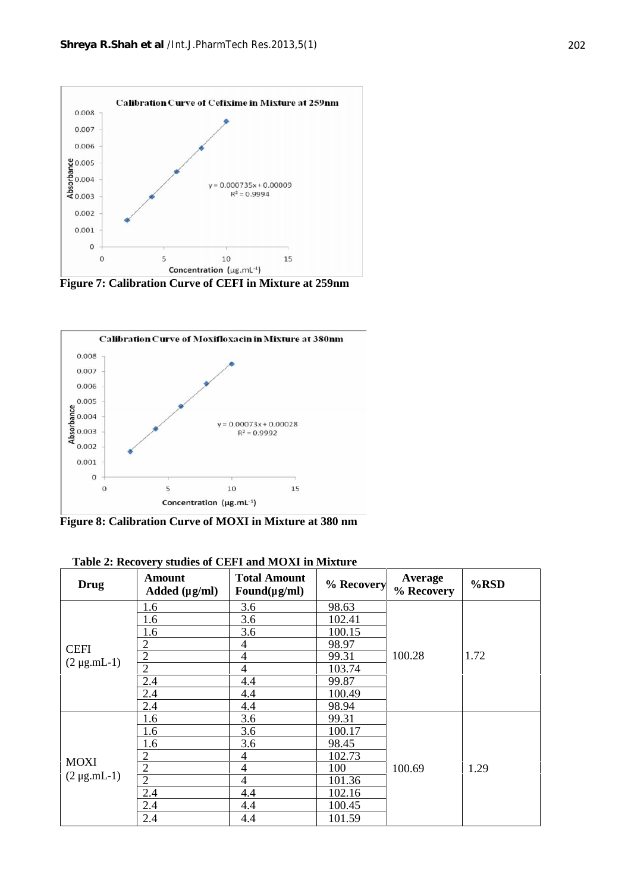

**Figure 7: Calibration Curve of CEFI in Mixture at 259nm**



**Figure 8: Calibration Curve of MOXI in Mixture at 380 nm**

| <b>Drug</b>                     | <b>Amount</b><br>Added $(\mu g/ml)$ | <b>Total Amount</b><br>Found( $\mu$ g/ml) | % Recovery | Average<br>% Recovery | $%$ RSD |
|---------------------------------|-------------------------------------|-------------------------------------------|------------|-----------------------|---------|
| <b>CEFI</b><br>$(2 \mu g.mL-1)$ | 1.6                                 | 3.6                                       | 98.63      |                       |         |
|                                 | 1.6                                 | 3.6                                       | 102.41     |                       |         |
|                                 | 1.6                                 | 3.6                                       | 100.15     |                       |         |
|                                 | $\overline{2}$                      | 4                                         | 98.97      |                       |         |
|                                 | $\overline{2}$                      | 4                                         | 99.31      | 100.28                | 1.72    |
|                                 | $\overline{2}$                      | 4                                         | 103.74     |                       |         |
|                                 | 2.4                                 | 4.4                                       | 99.87      |                       |         |
|                                 | 2.4                                 | 4.4                                       | 100.49     |                       |         |
|                                 | 2.4                                 | 4.4                                       | 98.94      |                       |         |
| <b>MOXI</b><br>$(2 \mu g.mL-1)$ | 1.6                                 | 3.6                                       | 99.31      |                       |         |
|                                 | 1.6                                 | 3.6                                       | 100.17     |                       |         |
|                                 | 1.6                                 | 3.6                                       | 98.45      |                       |         |
|                                 | $\overline{2}$                      | 4                                         | 102.73     |                       |         |
|                                 | $\overline{2}$                      | 4                                         | 100        | 100.69                | 1.29    |
|                                 | $\overline{2}$                      | 4                                         | 101.36     |                       |         |
|                                 | 2.4                                 | 4.4                                       | 102.16     |                       |         |
|                                 | 2.4                                 | 4.4                                       | 100.45     |                       |         |
|                                 | 2.4                                 | 4.4                                       | 101.59     |                       |         |

**Table 2: Recovery studies of CEFI and MOXI in Mixture**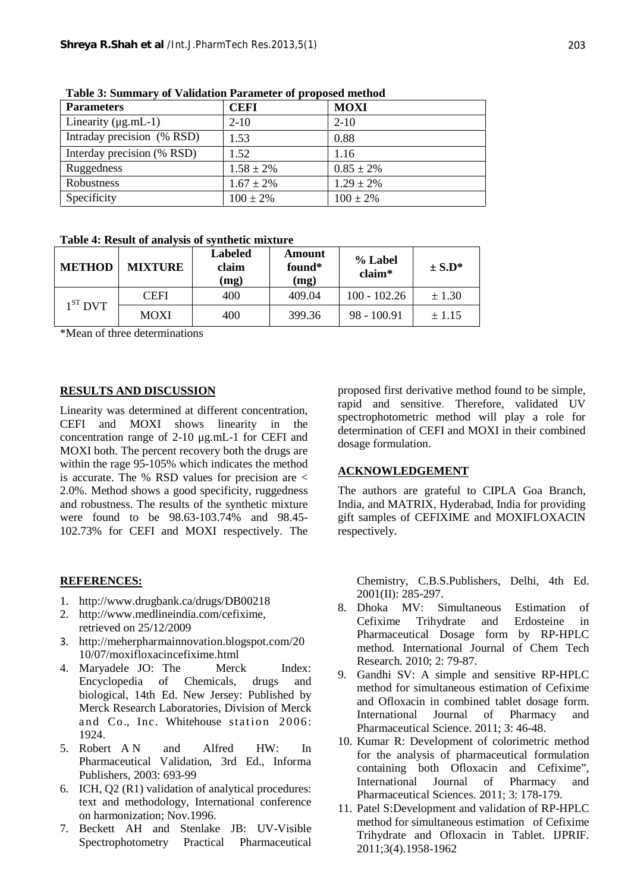| <b>Parameters</b>          | <b>CEFI</b>    | <b>MOXI</b>    |
|----------------------------|----------------|----------------|
| Linearity $(\mu g.mL-1)$   | $2 - 10$       | $2 - 10$       |
| Intraday precision (% RSD) | 1.53           | 0.88           |
| Interday precision (% RSD) | 1.52           | 1.16           |
| Ruggedness                 | $1.58 \pm 2\%$ | $0.85 \pm 2\%$ |
| Robustness                 | $1.67 \pm 2\%$ | $1.29 \pm 2\%$ |
| Specificity                | $100 \pm 2\%$  | $100 \pm 2\%$  |

**Table 3: Summary of Validation Parameter of proposed method**

## **Table 4: Result of analysis of synthetic mixture**

| <b>METHOD</b> | <b>MIXTURE</b> | <b>Labeled</b><br>claim<br>(mg) | Amount<br>found*<br>(mg) | % Label<br>$claim*$ | $\pm$ S.D* |
|---------------|----------------|---------------------------------|--------------------------|---------------------|------------|
| $1ST$ DVT     | <b>CEFI</b>    | 400                             | 409.04                   | $100 - 102.26$      | $\pm 1.30$ |
|               | <b>MOXI</b>    | 400                             | 399.36                   | $98 - 100.91$       | ± 1.15     |

\*Mean of three determinations

## **RESULTS AND DISCUSSION**

Linearity was determined at different concentration, CEFI and MOXI shows linearity in the concentration range of 2-10 μg.mL-1 for CEFI and MOXI both. The percent recovery both the drugs are within the rage 95-105% which indicates the method is accurate. The % RSD values for precision are  $\lt$ 2.0%. Method shows a good specificity, ruggedness and robustness. The results of the synthetic mixture were found to be 98.63-103.74% and 98.45- 102.73% for CEFI and MOXI respectively. The

## **REFERENCES:**

- 1. http://www.drugbank.ca/drugs/DB00218
- 2. http://www.medlineindia.com/cefixime, retrieved on 25/12/2009
- 3. http://meherpharmainnovation.blogspot.com/20 10/07/moxifloxacincefixime.html
- 4. Maryadele JO: The Merck Index: Encyclopedia of Chemicals, drugs and biological, 14th Ed. New Jersey: Published by Merck Research Laboratories, Division of Merck and Co., Inc. Whitehouse station 2006: 1924.
- 5. Robert A N and Alfred HW: In Pharmaceutical Validation, 3rd Ed., Informa Publishers, 2003: 693-99
- 6. ICH, Q2 (R1) validation of analytical procedures: text and methodology, International conference on harmonization; Nov.1996.
- 7. Beckett AH and Stenlake JB: UV-Visible Spectrophotometry Practical Pharmaceutical

proposed first derivative method found to be simple, rapid and sensitive. Therefore, validated UV spectrophotometric method will play a role for determination of CEFI and MOXI in their combined dosage formulation.

## **ACKNOWLEDGEMENT**

The authors are grateful to CIPLA Goa Branch, India, and MATRIX, Hyderabad, India for providing gift samples of CEFIXIME and MOXIFLOXACIN respectively.

Chemistry, C.B.S.Publishers, Delhi, 4th Ed. 2001(II): 285-297.

- 8. Dhoka MV: Simultaneous Estimation of Cefixime Trihydrate and Erdosteine in Pharmaceutical Dosage form by RP-HPLC method. International Journal of Chem Tech Research. 2010; 2: 79-87.
- 9. Gandhi SV: A simple and sensitive RP-HPLC method for simultaneous estimation of Cefixime and Ofloxacin in combined tablet dosage form. International Journal of Pharmacy and Pharmaceutical Science. 2011; 3: 46-48.
- 10. Kumar R: Development of colorimetric method for the analysis of pharmaceutical formulation containing both Ofloxacin and Cefixime", International Journal of Pharmacy and Pharmaceutical Sciences. 2011; 3: 178-179.
- 11. Patel S:Development and validation of RP-HPLC method for simultaneous estimation of Cefixime Trihydrate and Ofloxacin in Tablet. IJPRIF. 2011;3(4).1958-1962